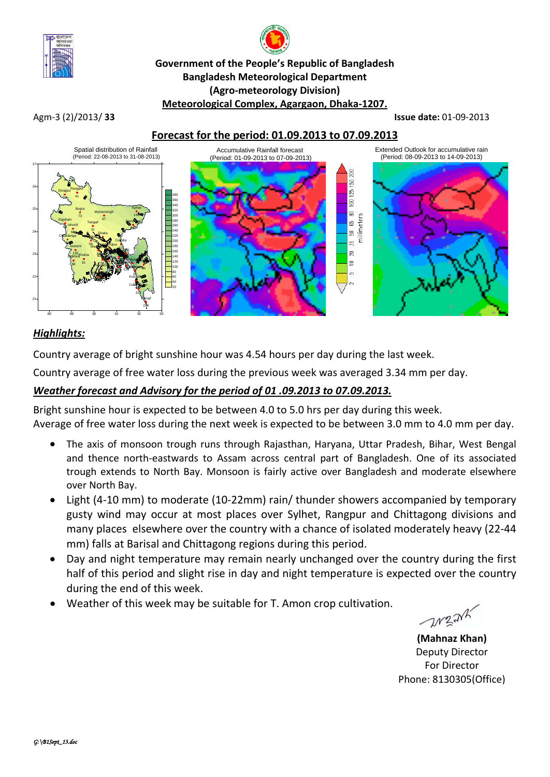

# **Government of the People's Republic of Bangladesh Bangladesh Meteorological Department (Agro-meteorology Division) Meteorological Complex, Agargaon, Dhaka-1207.**

Agm-3 (2)/2013/ **33 Issue date:** 01-09-2013

## **Forecast for the period: 01.09.2013 to 07.09.2013**



## *Highlights:*

Country average of bright sunshine hour was 4.54 hours per day during the last week.

Country average of free water loss during the previous week was averaged 3.34 mm per day.

## *Weather forecast and Advisory for the period of 01 .09.2013 to 07.09.2013.*

Bright sunshine hour is expected to be between 4.0 to 5.0 hrs per day during this week. Average of free water loss during the next week is expected to be between 3.0 mm to 4.0 mm per day.

- The axis of monsoon trough runs through Rajasthan, Haryana, Uttar Pradesh, Bihar, West Bengal and thence north-eastwards to Assam across central part of Bangladesh. One of its associated trough extends to North Bay. Monsoon is fairly active over Bangladesh and moderate elsewhere over North Bay.
- Light (4-10 mm) to moderate (10-22mm) rain/ thunder showers accompanied by temporary gusty wind may occur at most places over Sylhet, Rangpur and Chittagong divisions and many places elsewhere over the country with a chance of isolated moderately heavy (22-44 mm) falls at Barisal and Chittagong regions during this period.
- Day and night temperature may remain nearly unchanged over the country during the first half of this period and slight rise in day and night temperature is expected over the country during the end of this week.
- Weather of this week may be suitable for T. Amon crop cultivation.

**WEAK** 

**(Mahnaz Khan)** Deputy Director For Director Phone: 8130305(Office)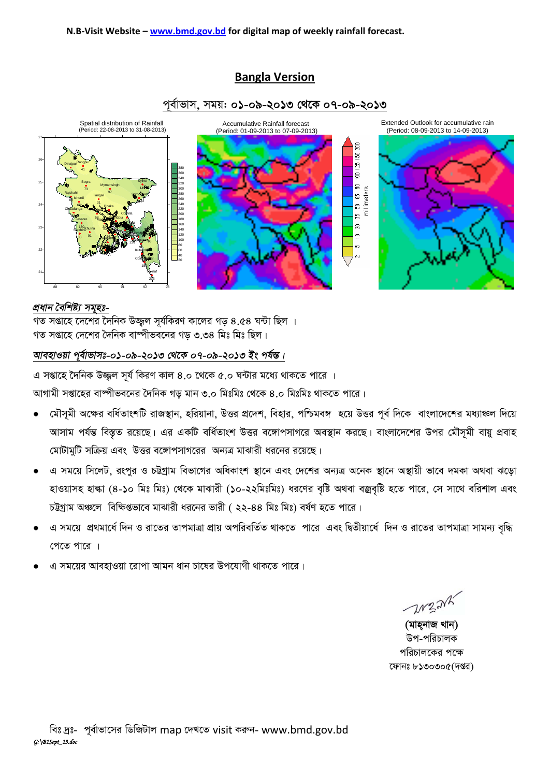## **Bangla Version**





#### *প্ৰধান বৈশিষ্ট্য সমৃহঃ-*

 $\frac{1}{2}$ সপ্তাহে দেশের দৈনিক উজ্জল সর্যকিরণ কালের গড় ৪.৫৪ ঘন্টা ছিল । গত সপ্তাহে দেশের দৈনিক বাম্পীভবনের গড ৩.৩৪ মিঃ মিঃ ছিল।

#### *আবহাওয়া পূৰ্বাভাসঃ-০১-০৯-২০১৩ থেকে ০৭-০৯-২০১৩ ইং পৰ্যন্ত।*

*G mßv‡n ‰`wbK D¾¡j m~h© wKiY Kvj 4.0 ‡\_‡K 5.0 N›Uvi g‡a¨ \_vK‡Z cv‡i |*

*আ*গামী সপ্তাহের বাম্পীভবনের দৈনিক গড় মান ৩.০ মিঃমিঃ থেকে ৪.০ মিঃমিঃ থাকতে পারে।

- *†gŠm~gx A‡ÿi ewa©ZvskwU ivR¯'vb, nwiqvbv, DËi cÖ‡`k, wenvi, cwðge½ n‡q DËi c~e© w`‡K evsjv‡`‡ki ga¨vÂj w`‡q*  স্মাসা পর্যন্ত বিস্তৃত রয়েছে। এর একটি বর্ধিতাংশ উত্তর বঙ্গোপসাগরে অবস্থান করছে। বাংলাদেশের উপর মৌসুমী বায়ু প্রবাহ *†gvUvgywU mwµq Ges DËi e‡½vcmvM‡ii Ab¨Î gvSvix ai‡bi i‡q‡Q|*
- *G mg‡q wm‡jU, iscyi I PÆMªvg wefv‡Mi AwaKvsk ¯'v‡b Ges †`‡ki Ab¨Î A‡bK ¯'v‡b A¯'vqx fv‡e `gKv A\_ev S‡ov*  হাওয়াসহ হাল্কা (8-**১**০ মিঃ মিঃ) থেকে মাঝারী (**১**০-২২মিঃমিঃ) ধরণের বৃষ্টি অথবা বজ্রবৃষ্টি হতে পারে, সে সাথে বরিশাল এবং  $p$ টুগ্রাম অঞ্চলে বিক্ষিগুভাবে মাঝারী ধরনের ভারী *( ২২-88 মিঃ* মিঃ) বর্ষণ হতে পারে।
- *G mg‡q cÖ\_gv‡a© w`b I iv‡Zi ZvcgvÎv cÖvq AcwiewZ©Z \_vK‡Z cv‡i Ges wØZxqv‡a© w`b I iv‡Zi ZvcgvÎv mvgb¨ e"w× পে*তে পারে ।
- ৰ সময়ের আবহাওয়া রোপা আমন ধান চাষের উপযোগী থাকতে পারে।

 $21221$ 

*(মাহনাজ খান)* উপ-পরিচালক *প*রিচালকের পক্ষে *‡dvbt 8130305(`ßi)*